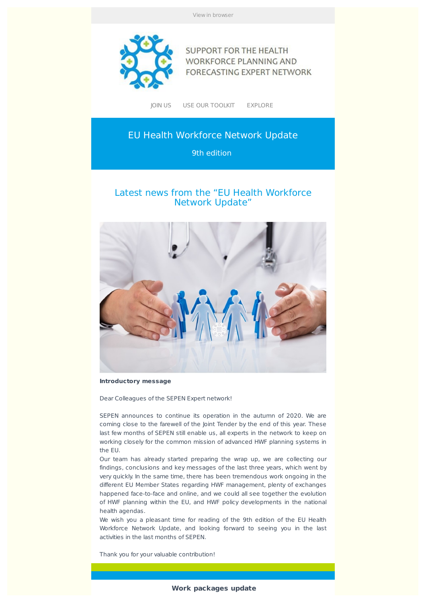View in browser



**SUPPORT FOR THE HEALTH WORKFORCE PLANNING AND** FORECASTING EXPERT NETWORK

JOIN US USE OUR TOOLKIT EXPLORE

# EU Health Workforce Network Update

9th edition

# Latest news from the "EU Health Workforce Network Update"



**Introductory message**

Dear Colleagues of the SEPEN Expert network!

SEPEN announces to continue its operation in the autumn of 2020. We are coming close to the farewell of the Joint Tender by the end of this year. These last few months of SEPEN still enable us, all experts in the network to keep on working closely for the common mission of advanced HWF planning systems in the EU.

Our team has already started preparing the wrap up, we are collecting our findings, conclusions and key messages of the last three years, which went by very quickly. In the same time, there has been tremendous work ongoing in the different EU Member States regarding HWF management, plenty of exchanges happened face-to-face and online, and we could all see together the evolution of HWF planning within the EU, and HWF policy developments in the national health agendas.

We wish you a pleasant time for reading of the 9th edition of the EU Health Workforce Network Update, and looking forward to seeing you in the last activities in the last months of SEPEN.

Thank you for your valuable contribution!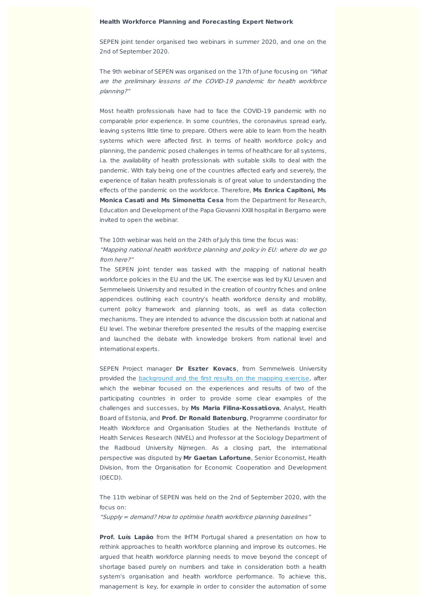#### **Health Workforce Planning and Forecasting Expert Network**

SEPEN joint tender organised two webinars in summer 2020, and one on the 2nd of September 2020.

The 9th webinar of SEPEN was organised on the 17th of June focusing on "What are the preliminary lessons of the COVID-19 pandemic for health workforce planning?"

Most health professionals have had to face the COVID-19 pandemic with no comparable prior experience. In some countries, the coronavirus spread early, leaving systems little time to prepare. Others were able to learn from the health systems which were affected first. In terms of health workforce policy and planning, the pandemic posed challenges in terms of healthcare for all systems, i.a. the availability of health professionals with suitable skills to deal with the pandemic. With Italy being one of the countries affected early and severely, the experience of Italian health professionals is of great value to understanding the effects of the pandemic on the workforce. Therefore, **Ms Enrica Capitoni, Ms Monica Casati and Ms Simonetta Cesa** from the Department for Research, Education and Development of the Papa Giovanni XXIII hospital in Bergamo were invited to open the webinar.

## The 10th webinar was held on the 24th of July this time the focus was: "Mapping national health workforce planning and policy in EU: where do we go from here?"

The SEPEN joint tender was tasked with the mapping of national health workforce policies in the EU and the UK. The exercise was led by KU Leuven and Semmelweis University and resulted in the creation of country fiches and online appendices outlining each country's health workforce density and mobility, current policy framework and planning tools, as well as data collection mechanisms. They are intended to advance the discussion both at national and EU level. The webinar therefore presented the results of the mapping exercise and launched the debate with knowledge brokers from national level and international experts.

SEPEN Project manager **Dr Eszter Kovacs**, from Semmelweis University provided the background and the first results on the mapping exercise, after which the webinar focused on the experiences and results of two of the participating countries in order to provide some clear examples of the challenges and successes, by **Ms Maria Filina-Kossatšova**, Analyst, Health Board of Estonia, and **Prof. Dr Ronald Batenburg**, Programme coordinator for Health Workforce and Organisation Studies at the Netherlands Institute of Health Services Research (NIVEL) and Professor at the Sociology Department of the Radboud University Nijmegen. As a closing part, the international perspective was disputed by **Mr Gaetan Lafortune**, Senior Economist, Health Division, from the Organisation for Economic Cooperation and Development (OECD).

The 11th webinar of SEPEN was held on the 2nd of September 2020, with the focus on:

"Supply <sup>=</sup> demand? How to optimise health workforce planning baselines"

**Prof. Luís Lapão** from the IHTM Portugal shared a presentation on how to rethink approaches to health workforce planning and improve its outcomes. He argued that health workforce planning needs to move beyond the concept of shortage based purely on numbers and take in consideration both a health system's organisation and health workforce performance. To achieve this, management is key, for example in order to consider the automation of some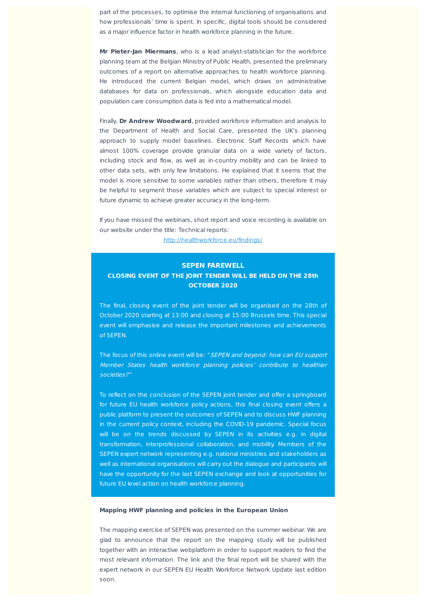part of the processes, to optimise the internal functioning of organisations and how professionals' time is spent. In specific, digital tools should be considered as a major influence factor in health workforce planning in the future.

**Mr Pieter-Jan Miermans**, who is a lead analyst-statistician for the workforce planning team at the Belgian Ministry of Public Health, presented the preliminary outcomes of a report on alternative approaches to health workforce planning. He introduced the current Belgian model, which draws on administrative databases for data on professionals, which alongside education data and population care consumption data is fed into a mathematical model.

Finally, **Dr Andrew Woodward**, provided workforce information and analysis to the Department of Health and Social Care, presented the UK's planning approach to supply model baselines. Electronic Staff Records which have almost 100% coverage provide granular data on a wide variety of factors, including stock and flow, as well as in-country mobility and can be linked to other data sets, with only few limitations. He explained that it seems that the model is more sensitive to some variables rather than others, therefore it may be helpful to segment those variables which are subject to special interest or future dynamic to achieve greater accuracy in the long-term.

If you have missed the webinars, short report and voice recording is available on our website under the title: Technical reports:

http://healthworkforce.eu/findings/

#### **SEPEN FAREWELL**

#### **CLOSING EVENT OF THE JOINT TENDER WILL BE HELD ON THE 28th OCTOBER 2020**

The final, closing event of the joint tender will be organised on the 28th of October 2020 starting at 13:00 and closing at 15:00 Brussels time. This special event will emphasise and release the important milestones and achievements of SEPEN.

The focus of this online event will be: "SEPEN and beyond: how can EU support Member States health workforce planning policies' contribute to healthier societies?"

To reflect on the conclusion of the SEPEN joint tender and offer a springboard for future EU health workforce policy actions, this final closing event offers a public platform to present the outcomes of SEPEN and to discuss HWF planning in the current policy context, including the COVID-19 pandemic. Special focus will be on the trends discussed by SEPEN in its activities e.g. in digital transformation, interprofessional collaboration, and mobility. Members of the SEPEN expert network representing e.g. national ministries and stakeholders as well as international organisations will carry out the dialogue and participants will have the opportunity for the last SEPEN exchange and look at opportunities for future EU level action on health workforce planning.

#### **Mapping HWF planning and policies in the European Union**

The mapping exercise of SEPEN was presented on the summer webinar. We are glad to announce that the report on the mapping study will be published together with an interactive webplatform in order to support readers to find the most relevant information. The link and the final report will be shared with the expert network in our SEPEN EU Health Workforce Network Update last edition soon.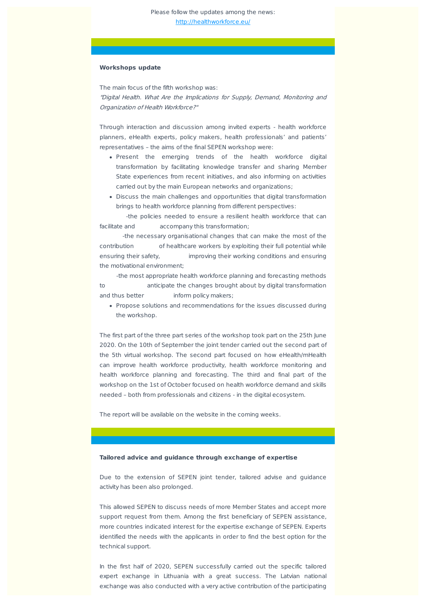#### **Workshops update**

The main focus of the fifth workshop was: "Digital Health. What Are the Implications for Supply, Demand, Monitoring and Organization of Health Workforce?"

Through interaction and discussion among invited experts - health workforce planners, eHealth experts, policy makers, health professionals' and patients' representatives – the aims of the final SEPEN workshop were:

- Present the emerging trends of the health workforce digital transformation by facilitating knowledge transfer and sharing Member State experiences from recent initiatives, and also informing on activities carried out by the main European networks and organizations;
- Discuss the main challenges and opportunities that digital transformation brings to health workforce planning from different perspectives:

-the policies needed to ensure a resilient health workforce that can facilitate and accompany this transformation;

-the necessary organisational changes that can make the most of the contribution of healthcare workers by exploiting their full potential while ensuring their safety, improving their working conditions and ensuring the motivational environment;

-the most appropriate health workforce planning and forecasting methods to anticipate the changes brought about by digital transformation and thus better inform policy makers;

Propose solutions and recommendations for the issues discussed during the workshop.

The first part of the three part series of the workshop took part on the 25th June 2020. On the 10th of September the joint tender carried out the second part of the 5th virtual workshop. The second part focused on how eHealth/mHealth can improve health workforce productivity, health workforce monitoring and health workforce planning and forecasting. The third and final part of the workshop on the 1st of October focused on health workforce demand and skills needed – both from professionals and citizens - in the digital ecosystem.

The report will be available on the website in the coming weeks.

#### **Tailored advice and guidance through exchange of expertise**

Due to the extension of SEPEN joint tender, tailored advise and guidance activity has been also prolonged.

This allowed SEPEN to discuss needs of more Member States and accept more support request from them. Among the first beneficiary of SEPEN assistance, more countries indicated interest for the expertise exchange of SEPEN. Experts identified the needs with the applicants in order to find the best option for the technical support.

In the first half of 2020, SEPEN successfully carried out the specific tailored expert exchange in Lithuania with a great success. The Latvian national exchange was also conducted with a very active contribution of the participating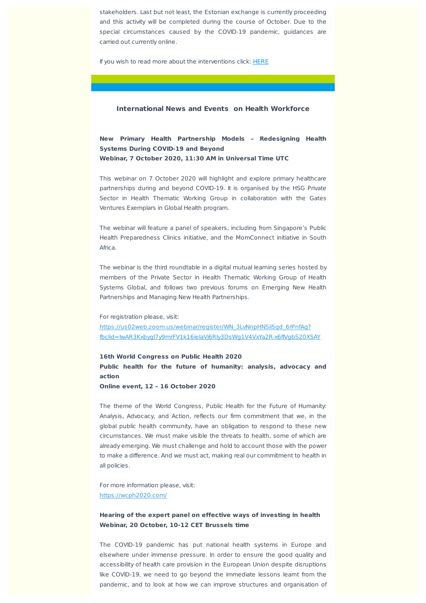stakeholders. Last but not least, the Estonian exchange is currently proceeding and this activity will be completed during the course of October. Due to the special circumstances caused by the COVID-19 pandemic, guidances are carried out currently online.

If you wish to read more about the interventions click: HERE

#### **International News and Events on Health Workforce**

**New Primary Health Partnership Models – Redesigning Health Systems During COVID-19 and Beyond Webinar, 7 October 2020, 11:30 AM in Universal Time UTC**

This webinar on 7 October 2020 will highlight and explore primary healthcare partnerships during and beyond COVID-19. It is organised by the HSG Private Sector in Health Thematic Working Group in collaboration with the Gates Ventures Exemplars in Global Health program.

The webinar will feature a panel of speakers, including from Singapore's Public Health Preparedness Clinics initiative, and the MomConnect initiative in South Africa.

The webinar is the third roundtable in a digital mutual learning series hosted by members of the Private Sector in Health Thematic Working Group of Health Systems Global, and follows two previous forums on Emerging New Health Partnerships and Managing New Health Partnerships.

For registration please, visit:

https://us02web.zoom.us/webinar/register/WN\_3LvNnpHNSii5gd\_6rPnfAg? fbclid=IwAR3Kxbygl7y9mrFV1k16ieIaVj6RIy3DsWg1V4VxYa2R-x6fIVgbS20XSAY

**16th World Congress on Public Health 2020 Public health for the future of humanity: analysis, advocacy and action**

**Online event, 12 – 16 October 2020**

The theme of the World Congress, Public Health for the Future of Humanity: Analysis, Advocacy, and Action, reflects our firm commitment that we, in the global public health community, have an obligation to respond to these new circumstances. We must make visible the threats to health, some of which are already emerging. We must challenge and hold to account those with the power to make a difference. And we must act, making real our commitment to health in all policies.

For more information please, visit: https://wcph2020.com/

## **Hearing of the expert panel on effective ways of investing in health Webinar, 20 October, 10-12 CET Brussels time**

The COVID-19 pandemic has put national health systems in Europe and elsewhere under immense pressure. In order to ensure the good quality and accessibility of health care provision in the European Union despite disruptions like COVID-19, we need to go beyond the immediate lessons learnt from the pandemic, and to look at how we can improve structures and organisation of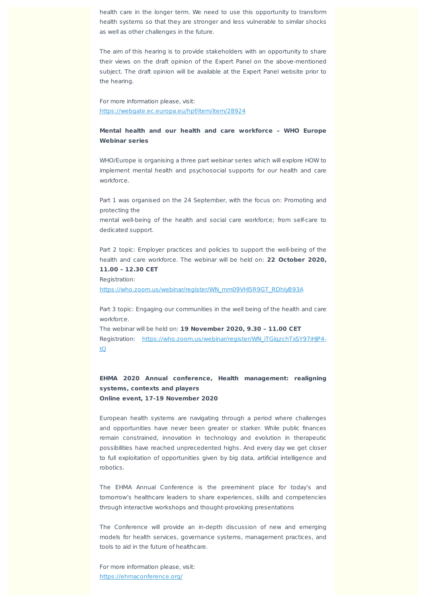health care in the longer term. We need to use this opportunity to transform health systems so that they are stronger and less vulnerable to similar shocks as well as other challenges in the future.

The aim of this hearing is to provide stakeholders with an opportunity to share their views on the draft opinion of the Expert Panel on the above-mentioned subject. The draft opinion will be available at the Expert Panel website prior to the hearing.

For more information please, visit: https://webgate.ec.europa.eu/hpf/item/item/28924

### **Mental health and our health and care workforce – WHO Europe Webinar series**

WHO/Europe is organising a three part webinar series which will explore HOW to implement mental health and psychosocial supports for our health and care workforce.

Part 1 was organised on the 24 September, with the focus on: Promoting and protecting the

mental well-being of the health and social care workforce; from self-care to dedicated support.

Part 2 topic: Employer practices and policies to support the well-being of the health and care workforce. The webinar will be held on: **22 October 2020, 11.00 – 12.30 CET**

Registration:

https://who.zoom.us/webinar/register/WN\_mm09VHl5R9GT\_RDhlyB93A

Part 3 topic: Engaging our communities in the well being of the health and care workforce.

The webinar will be held on: **19 November 2020, 9.30 – 11.00 CET** Registration: https://who.zoom.us/webinar/register/WN\_iTGiqzchTxSY97iHJP4tQ

# **EHMA 2020 Annual conference, Health management: realigning systems, contexts and players Online event, 17-19 November 2020**

European health systems are navigating through a period where challenges and opportunities have never been greater or starker. While public finances remain constrained, innovation in technology and evolution in therapeutic possibilities have reached unprecedented highs. And every day we get closer to full exploitation of opportunities given by big data, artificial intelligence and robotics.

The EHMA Annual Conference is the preeminent place for today's and tomorrow's healthcare leaders to share experiences, skills and competencies through interactive workshops and thought-provoking presentations

The Conference will provide an in-depth discussion of new and emerging models for health services, governance systems, management practices, and tools to aid in the future of healthcare.

For more information please, visit: https://ehmaconference.org/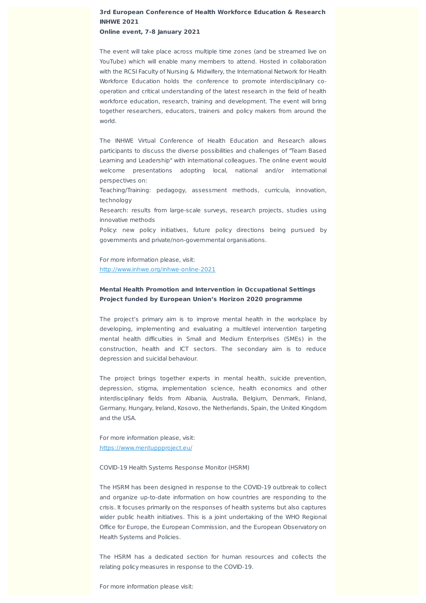# **3rd European Conference of Health Workforce Education & Research INHWE 2021 Online event, 7-8 January 2021**

The event will take place across multiple time zones (and be streamed live on YouTube) which will enable many members to attend. Hosted in collaboration with the RCSI Faculty of Nursing & Midwifery, the International Network for Health Workforce Education holds the conference to promote interdisciplinary cooperation and critical understanding of the latest research in the field of health workforce education, research, training and development. The event will bring together researchers, educators, trainers and policy makers from around the world.

The INHWE Virtual Conference of Health Education and Research allows participants to discuss the diverse possibilities and challenges of "Team Based Learning and Leadership" with international colleagues. The online event would welcome presentations adopting local, national and/or international perspectives on:

Teaching/Training: pedagogy, assessment methods, curricula, innovation, technology

Research: results from large-scale surveys, research projects, studies using innovative methods

Policy: new policy initiatives, future policy directions being pursued by governments and private/non-governmental organisations.

For more information please, visit: http://www.inhwe.org/inhwe-online-2021

## **Mental Health Promotion and Intervention in Occupational Settings Project funded by European Union's Horizon 2020 programme**

The project's primary aim is to improve mental health in the workplace by developing, implementing and evaluating a multilevel intervention targeting mental health difficulties in Small and Medium Enterprises (SMEs) in the construction, health and ICT sectors. The secondary aim is to reduce depression and suicidal behaviour.

The project brings together experts in mental health, suicide prevention, depression, stigma, implementation science, health economics and other interdisciplinary fields from Albania, Australia, Belgium, Denmark, Finland, Germany, Hungary, Ireland, Kosovo, the Netherlands, Spain, the United Kingdom and the USA.

For more information please, visit: https://www.mentuppproject.eu/

COVID-19 Health Systems Response Monitor (HSRM)

The HSRM has been designed in response to the COVID-19 outbreak to collect and organize up-to-date information on how countries are responding to the crisis. It focuses primarily on the responses of health systems but also captures wider public health initiatives. This is a joint undertaking of the WHO Regional Office for Europe, the European Commission, and the European Observatory on Health Systems and Policies.

The HSRM has a dedicated section for human resources and collects the relating policy measures in response to the COVID-19.

For more information please visit: